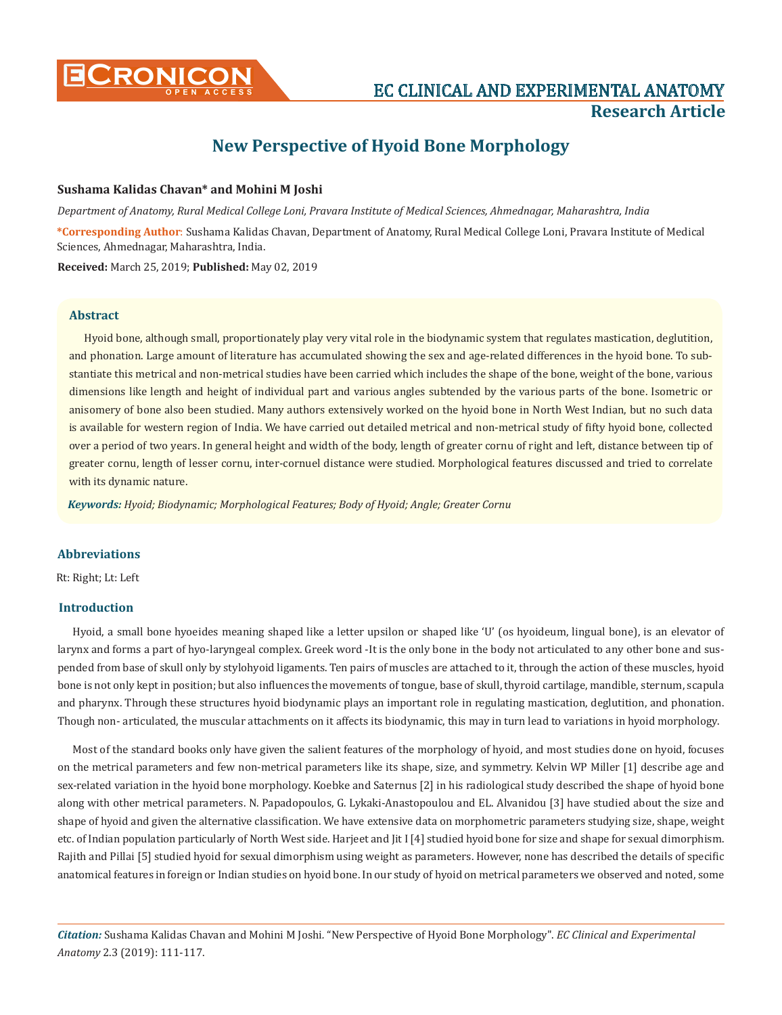

# **New Perspective of Hyoid Bone Morphology**

## **Sushama Kalidas Chavan\* and Mohini M Joshi**

*Department of Anatomy, Rural Medical College Loni, Pravara Institute of Medical Sciences, Ahmednagar, Maharashtra, India* **\*Corresponding Author**: Sushama Kalidas Chavan, Department of Anatomy, Rural Medical College Loni, Pravara Institute of Medical Sciences, Ahmednagar, Maharashtra, India. **Received:** March 25, 2019; **Published:** May 02, 2019

## **Abstract**

Hyoid bone, although small, proportionately play very vital role in the biodynamic system that regulates mastication, deglutition, and phonation. Large amount of literature has accumulated showing the sex and age-related differences in the hyoid bone. To substantiate this metrical and non-metrical studies have been carried which includes the shape of the bone, weight of the bone, various dimensions like length and height of individual part and various angles subtended by the various parts of the bone. Isometric or anisomery of bone also been studied. Many authors extensively worked on the hyoid bone in North West Indian, but no such data is available for western region of India. We have carried out detailed metrical and non-metrical study of fifty hyoid bone, collected over a period of two years. In general height and width of the body, length of greater cornu of right and left, distance between tip of greater cornu, length of lesser cornu, inter-cornuel distance were studied. Morphological features discussed and tried to correlate with its dynamic nature.

*Keywords: Hyoid; Biodynamic; Morphological Features; Body of Hyoid; Angle; Greater Cornu* 

# **Abbreviations**

Rt: Right; Lt: Left

## **Introduction**

Hyoid, a small bone hyoeides meaning shaped like a letter upsilon or shaped like 'U' (os hyoideum, lingual bone), is an elevator of larynx and forms a part of hyo-laryngeal complex. Greek word -It is the only bone in the body not articulated to any other bone and suspended from base of skull only by stylohyoid ligaments. Ten pairs of muscles are attached to it, through the action of these muscles, hyoid bone is not only kept in position; but also influences the movements of tongue, base of skull, thyroid cartilage, mandible, sternum, scapula and pharynx. Through these structures hyoid biodynamic plays an important role in regulating mastication, deglutition, and phonation. Though non- articulated, the muscular attachments on it affects its biodynamic, this may in turn lead to variations in hyoid morphology.

Most of the standard books only have given the salient features of the morphology of hyoid, and most studies done on hyoid, focuses on the metrical parameters and few non-metrical parameters like its shape, size, and symmetry. Kelvin WP Miller [1] describe age and sex-related variation in the hyoid bone morphology. Koebke and Saternus [2] in his radiological study described the shape of hyoid bone along with other metrical parameters. N. Papadopoulos, G. Lykaki-Anastopoulou and EL. Alvanidou [3] have studied about the size and shape of hyoid and given the alternative classification. We have extensive data on morphometric parameters studying size, shape, weight etc. of Indian population particularly of North West side. Harjeet and Jit I [4] studied hyoid bone for size and shape for sexual dimorphism. Rajith and Pillai [5] studied hyoid for sexual dimorphism using weight as parameters. However, none has described the details of specific anatomical features in foreign or Indian studies on hyoid bone. In our study of hyoid on metrical parameters we observed and noted, some

*Citation:* Sushama Kalidas Chavan and Mohini M Joshi*.* "New Perspective of Hyoid Bone Morphology". *EC Clinical and Experimental Anatomy* 2.3 (2019): 111-117.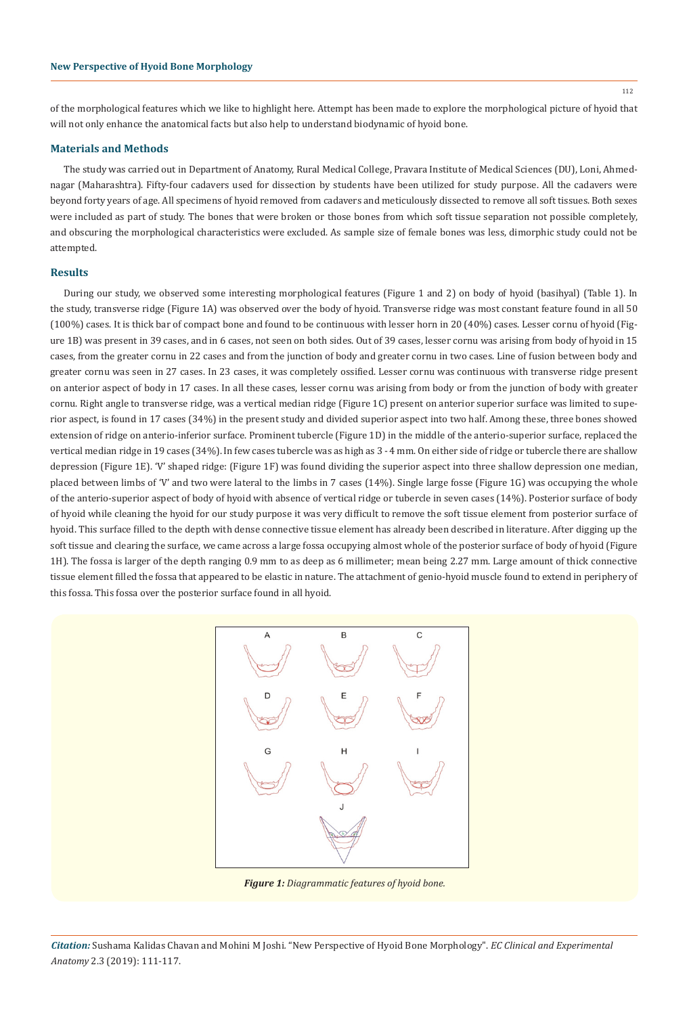of the morphological features which we like to highlight here. Attempt has been made to explore the morphological picture of hyoid that will not only enhance the anatomical facts but also help to understand biodynamic of hyoid bone.

#### **Materials and Methods**

The study was carried out in Department of Anatomy, Rural Medical College, Pravara Institute of Medical Sciences (DU), Loni, Ahmednagar (Maharashtra). Fifty-four cadavers used for dissection by students have been utilized for study purpose. All the cadavers were beyond forty years of age. All specimens of hyoid removed from cadavers and meticulously dissected to remove all soft tissues. Both sexes were included as part of study. The bones that were broken or those bones from which soft tissue separation not possible completely, and obscuring the morphological characteristics were excluded. As sample size of female bones was less, dimorphic study could not be attempted.

#### **Results**

During our study, we observed some interesting morphological features (Figure 1 and 2) on body of hyoid (basihyal) (Table 1). In the study, transverse ridge (Figure 1A) was observed over the body of hyoid. Transverse ridge was most constant feature found in all 50 (100%) cases. It is thick bar of compact bone and found to be continuous with lesser horn in 20 (40%) cases. Lesser cornu of hyoid (Figure 1B) was present in 39 cases, and in 6 cases, not seen on both sides. Out of 39 cases, lesser cornu was arising from body of hyoid in 15 cases, from the greater cornu in 22 cases and from the junction of body and greater cornu in two cases. Line of fusion between body and greater cornu was seen in 27 cases. In 23 cases, it was completely ossified. Lesser cornu was continuous with transverse ridge present on anterior aspect of body in 17 cases. In all these cases, lesser cornu was arising from body or from the junction of body with greater cornu. Right angle to transverse ridge, was a vertical median ridge (Figure 1C) present on anterior superior surface was limited to superior aspect, is found in 17 cases (34%) in the present study and divided superior aspect into two half. Among these, three bones showed extension of ridge on anterio-inferior surface. Prominent tubercle (Figure 1D) in the middle of the anterio-superior surface, replaced the vertical median ridge in 19 cases (34%). In few cases tubercle was as high as 3 - 4 mm. On either side of ridge or tubercle there are shallow depression (Figure 1E). 'V' shaped ridge: (Figure 1F) was found dividing the superior aspect into three shallow depression one median, placed between limbs of 'V' and two were lateral to the limbs in 7 cases (14%). Single large fosse (Figure 1G) was occupying the whole of the anterio-superior aspect of body of hyoid with absence of vertical ridge or tubercle in seven cases (14%). Posterior surface of body of hyoid while cleaning the hyoid for our study purpose it was very difficult to remove the soft tissue element from posterior surface of hyoid. This surface filled to the depth with dense connective tissue element has already been described in literature. After digging up the soft tissue and clearing the surface, we came across a large fossa occupying almost whole of the posterior surface of body of hyoid (Figure 1H). The fossa is larger of the depth ranging 0.9 mm to as deep as 6 millimeter; mean being 2.27 mm. Large amount of thick connective tissue element filled the fossa that appeared to be elastic in nature. The attachment of genio-hyoid muscle found to extend in periphery of this fossa. This fossa over the posterior surface found in all hyoid.



*Figure 1: Diagrammatic features of hyoid bone.*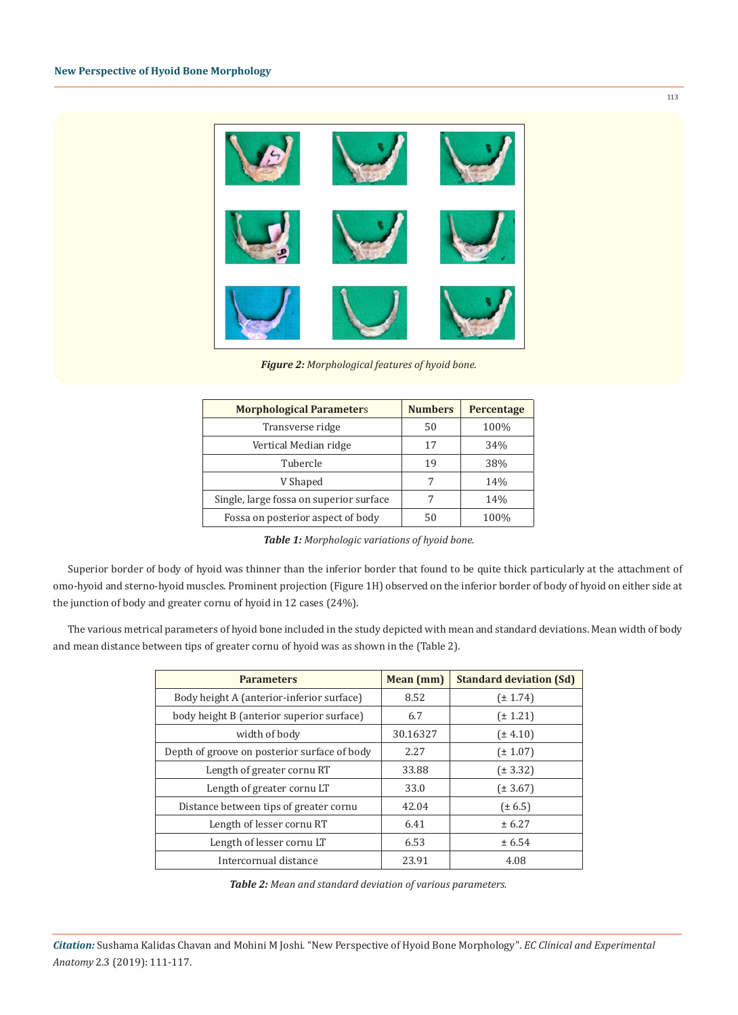

*Figure 2: Morphological features of hyoid bone.*

| <b>Morphological Parameters</b>         | <b>Numbers</b> | Percentage |  |
|-----------------------------------------|----------------|------------|--|
| Transverse ridge                        | 50             | 100%       |  |
| Vertical Median ridge                   | 17             | 34%        |  |
| Tubercle                                | 19             | 38%        |  |
| V Shaped                                | 7              | 14%        |  |
| Single, large fossa on superior surface |                | 14%        |  |
| Fossa on posterior aspect of body       | 50             | 100%       |  |

*Table 1: Morphologic variations of hyoid bone.*

Superior border of body of hyoid was thinner than the inferior border that found to be quite thick particularly at the attachment of omo-hyoid and sterno-hyoid muscles. Prominent projection (Figure 1H) observed on the inferior border of body of hyoid on either side at the junction of body and greater cornu of hyoid in 12 cases (24%).

The various metrical parameters of hyoid bone included in the study depicted with mean and standard deviations. Mean width of body and mean distance between tips of greater cornu of hyoid was as shown in the (Table 2).

| <b>Parameters</b>                            | Mean (mm) | <b>Standard deviation (Sd)</b> |
|----------------------------------------------|-----------|--------------------------------|
| Body height A (anterior-inferior surface)    | 8.52      | $(\pm 1.74)$                   |
| body height B (anterior superior surface)    | 6.7       | $(\pm 1.21)$                   |
| width of body                                | 30.16327  | $(\pm 4.10)$                   |
| Depth of groove on posterior surface of body | 2.27      | $(\pm 1.07)$                   |
| Length of greater cornu RT                   | 33.88     | $(\pm 3.32)$                   |
| Length of greater cornu LT                   | 33.0      | $(\pm 3.67)$                   |
| Distance between tips of greater cornu       | 42.04     | $(\pm 6.5)$                    |
| Length of lesser cornu RT                    | 6.41      | ± 6.27                         |
| Length of lesser cornu LT                    | 6.53      | ± 6.54                         |
| Intercornual distance                        | 23.91     | 4.08                           |

*Table 2: Mean and standard deviation of various parameters.*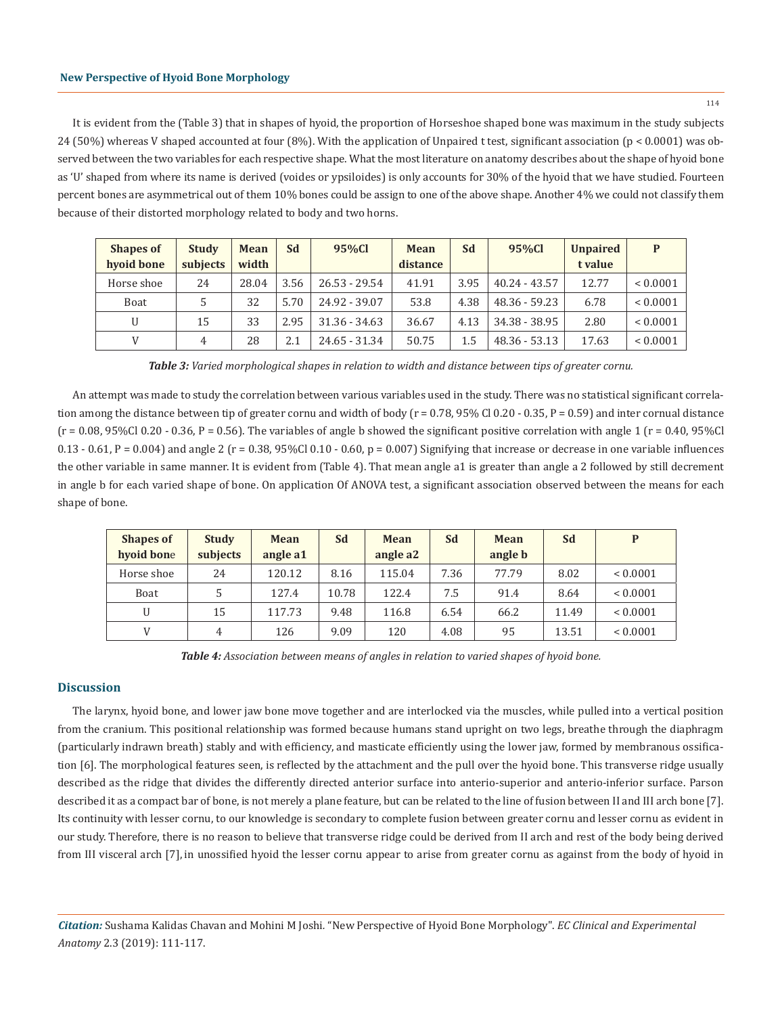It is evident from the (Table 3) that in shapes of hyoid, the proportion of Horseshoe shaped bone was maximum in the study subjects 24 (50%) whereas V shaped accounted at four (8%). With the application of Unpaired t test, significant association (p < 0.0001) was observed between the two variables for each respective shape. What the most literature on anatomy describes about the shape of hyoid bone as 'U' shaped from where its name is derived (voides or ypsiloides) is only accounts for 30% of the hyoid that we have studied. Fourteen percent bones are asymmetrical out of them 10% bones could be assign to one of the above shape. Another 4% we could not classify them because of their distorted morphology related to body and two horns.

| <b>Shapes of</b><br>hyoid bone | <b>Study</b><br>subjects | Mean<br>width | Sd   | 95%Cl           | <b>Mean</b><br>distance | Sd   | 95%Cl           | <b>Unpaired</b><br>t value | P            |
|--------------------------------|--------------------------|---------------|------|-----------------|-------------------------|------|-----------------|----------------------------|--------------|
| Horse shoe                     | 24                       | 28.04         | 3.56 | $26.53 - 29.54$ | 41.91                   | 3.95 | $40.24 - 43.57$ | 12.77                      | ${}< 0.0001$ |
| Boat                           | 5                        | 32            | 5.70 | 24.92 - 39.07   | 53.8                    | 4.38 | 48.36 - 59.23   | 6.78                       | ${}< 0.0001$ |
| $\mathbf{U}$                   | 15                       | 33            | 2.95 | $31.36 - 34.63$ | 36.67                   | 4.13 | 34.38 - 38.95   | 2.80                       | ${}< 0.0001$ |
| V                              | 4                        | 28            | 2.1  | 24.65 - 31.34   | 50.75                   | 1.5  | 48.36 - 53.13   | 17.63                      | ${}< 0.0001$ |

*Table 3: Varied morphological shapes in relation to width and distance between tips of greater cornu.*

An attempt was made to study the correlation between various variables used in the study. There was no statistical significant correlation among the distance between tip of greater cornu and width of body ( $r = 0.78$ , 95% Cl 0.20 - 0.35, P = 0.59) and inter cornual distance  $(r = 0.08, 95\%$ Cl 0.20 - 0.36, P = 0.56). The variables of angle b showed the significant positive correlation with angle 1  $(r = 0.40, 95\%$ Cl 0.13 - 0.61, P = 0.004) and angle 2 (r = 0.38, 95%Cl 0.10 - 0.60, p = 0.007) Signifying that increase or decrease in one variable influences the other variable in same manner. It is evident from (Table 4). That mean angle a1 is greater than angle a 2 followed by still decrement in angle b for each varied shape of bone. On application Of ANOVA test, a significant association observed between the means for each shape of bone.

| <b>Shapes of</b> | <b>Study</b>   | Mean     | <b>Sd</b> | <b>Mean</b> | Sd   | <b>Mean</b> | Sd    | P            |
|------------------|----------------|----------|-----------|-------------|------|-------------|-------|--------------|
| hyoid bone       | subjects       | angle a1 |           | angle a2    |      | angle b     |       |              |
| Horse shoe       | 24             | 120.12   | 8.16      | 115.04      | 7.36 | 77.79       | 8.02  | ${}< 0.0001$ |
| Boat             | 5              | 127.4    | 10.78     | 122.4       | 7.5  | 91.4        | 8.64  | ${}< 0.0001$ |
| $\mathbf{U}$     | 15             | 117.73   | 9.48      | 116.8       | 6.54 | 66.2        | 11.49 | ${}< 0.0001$ |
|                  | $\overline{4}$ | 126      | 9.09      | 120         | 4.08 | 95          | 13.51 | ${}< 0.0001$ |

*Table 4: Association between means of angles in relation to varied shapes of hyoid bone.*

## **Discussion**

The larynx, hyoid bone, and lower jaw bone move together and are interlocked via the muscles, while pulled into a vertical position from the cranium. This positional relationship was formed because humans stand upright on two legs, breathe through the diaphragm (particularly indrawn breath) stably and with efficiency, and masticate efficiently using the lower jaw, formed by membranous ossification [6]. The morphological features seen, is reflected by the attachment and the pull over the hyoid bone. This transverse ridge usually described as the ridge that divides the differently directed anterior surface into anterio-superior and anterio-inferior surface. Parson described it as a compact bar of bone, is not merely a plane feature, but can be related to the line of fusion between II and III arch bone [7]. Its continuity with lesser cornu, to our knowledge is secondary to complete fusion between greater cornu and lesser cornu as evident in our study. Therefore, there is no reason to believe that transverse ridge could be derived from II arch and rest of the body being derived from III visceral arch [7], in unossified hyoid the lesser cornu appear to arise from greater cornu as against from the body of hyoid in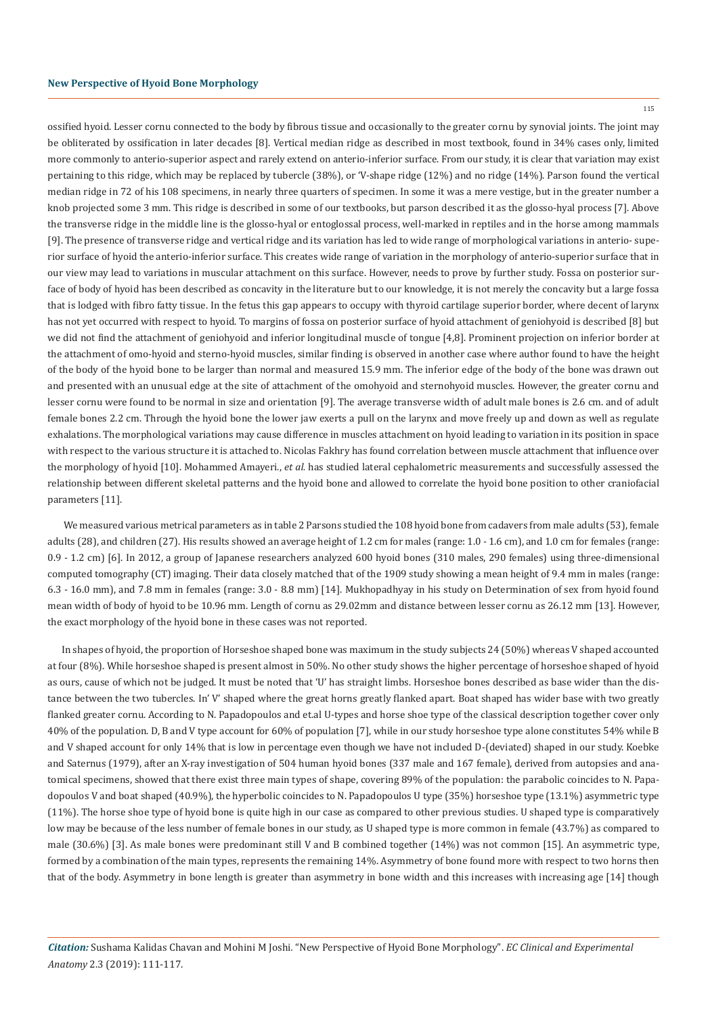115

ossified hyoid. Lesser cornu connected to the body by fibrous tissue and occasionally to the greater cornu by synovial joints. The joint may be obliterated by ossification in later decades [8]. Vertical median ridge as described in most textbook, found in 34% cases only, limited more commonly to anterio-superior aspect and rarely extend on anterio-inferior surface. From our study, it is clear that variation may exist pertaining to this ridge, which may be replaced by tubercle (38%), or 'V-shape ridge (12%) and no ridge (14%). Parson found the vertical median ridge in 72 of his 108 specimens, in nearly three quarters of specimen. In some it was a mere vestige, but in the greater number a knob projected some 3 mm. This ridge is described in some of our textbooks, but parson described it as the glosso-hyal process [7]. Above the transverse ridge in the middle line is the glosso-hyal or entoglossal process, well-marked in reptiles and in the horse among mammals [9]. The presence of transverse ridge and vertical ridge and its variation has led to wide range of morphological variations in anterio- superior surface of hyoid the anterio-inferior surface. This creates wide range of variation in the morphology of anterio-superior surface that in our view may lead to variations in muscular attachment on this surface. However, needs to prove by further study. Fossa on posterior surface of body of hyoid has been described as concavity in the literature but to our knowledge, it is not merely the concavity but a large fossa that is lodged with fibro fatty tissue. In the fetus this gap appears to occupy with thyroid cartilage superior border, where decent of larynx has not yet occurred with respect to hyoid. To margins of fossa on posterior surface of hyoid attachment of geniohyoid is described [8] but we did not find the attachment of geniohyoid and inferior longitudinal muscle of tongue [4,8]. Prominent projection on inferior border at the attachment of omo-hyoid and sterno-hyoid muscles, similar finding is observed in another case where author found to have the height of the body of the hyoid bone to be larger than normal and measured 15.9 mm. The inferior edge of the body of the bone was drawn out and presented with an unusual edge at the site of attachment of the omohyoid and sternohyoid muscles. However, the greater cornu and lesser cornu were found to be normal in size and orientation [9]. The average transverse width of adult male bones is 2.6 cm. and of adult female bones 2.2 cm. Through the hyoid bone the lower jaw exerts a pull on the larynx and move freely up and down as well as regulate exhalations. The morphological variations may cause difference in muscles attachment on hyoid leading to variation in its position in space with respect to the various structure it is attached to. Nicolas Fakhry has found correlation between muscle attachment that influence over the morphology of hyoid [10]. Mohammed Amayeri., *et al.* has studied lateral cephalometric measurements and successfully assessed the relationship between different skeletal patterns and the hyoid bone and allowed to correlate the hyoid bone position to other craniofacial parameters [11].

 We measured various metrical parameters as in table 2 Parsons studied the 108 hyoid bone from cadavers from male adults (53), female adults (28), and children (27). His results showed an average height of 1.2 cm for males (range: 1.0 - 1.6 cm), and 1.0 cm for females (range: 0.9 - 1.2 cm) [6]. In 2012, a group of Japanese researchers analyzed 600 hyoid bones (310 males, 290 females) using three-dimensional computed tomography (CT) imaging. Their data closely matched that of the 1909 study showing a mean height of 9.4 mm in males (range: 6.3 - 16.0 mm), and 7.8 mm in females (range: 3.0 - 8.8 mm) [14]. Mukhopadhyay in his study on Determination of sex from hyoid found mean width of body of hyoid to be 10.96 mm. Length of cornu as 29.02mm and distance between lesser cornu as 26.12 mm [13]. However, the exact morphology of the hyoid bone in these cases was not reported.

In shapes of hyoid, the proportion of Horseshoe shaped bone was maximum in the study subjects 24 (50%) whereas V shaped accounted at four (8%). While horseshoe shaped is present almost in 50%. No other study shows the higher percentage of horseshoe shaped of hyoid as ours, cause of which not be judged. It must be noted that 'U' has straight limbs. Horseshoe bones described as base wider than the distance between the two tubercles. In' V' shaped where the great horns greatly flanked apart. Boat shaped has wider base with two greatly flanked greater cornu. According to N. Papadopoulos and et.al U-types and horse shoe type of the classical description together cover only 40% of the population. D, B and V type account for 60% of population [7], while in our study horseshoe type alone constitutes 54% while B and V shaped account for only 14% that is low in percentage even though we have not included D-(deviated) shaped in our study. Koebke and Saternus (1979), after an X-ray investigation of 504 human hyoid bones (337 male and 167 female), derived from autopsies and anatomical specimens, showed that there exist three main types of shape, covering 89% of the population: the parabolic coincides to N. Papadopoulos V and boat shaped (40.9%), the hyperbolic coincides to N. Papadopoulos U type (35%) horseshoe type (13.1%) asymmetric type (11%). The horse shoe type of hyoid bone is quite high in our case as compared to other previous studies. U shaped type is comparatively low may be because of the less number of female bones in our study, as U shaped type is more common in female (43.7%) as compared to male (30.6%) [3]. As male bones were predominant still V and B combined together (14%) was not common [15]. An asymmetric type, formed by a combination of the main types, represents the remaining 14%. Asymmetry of bone found more with respect to two horns then that of the body. Asymmetry in bone length is greater than asymmetry in bone width and this increases with increasing age [14] though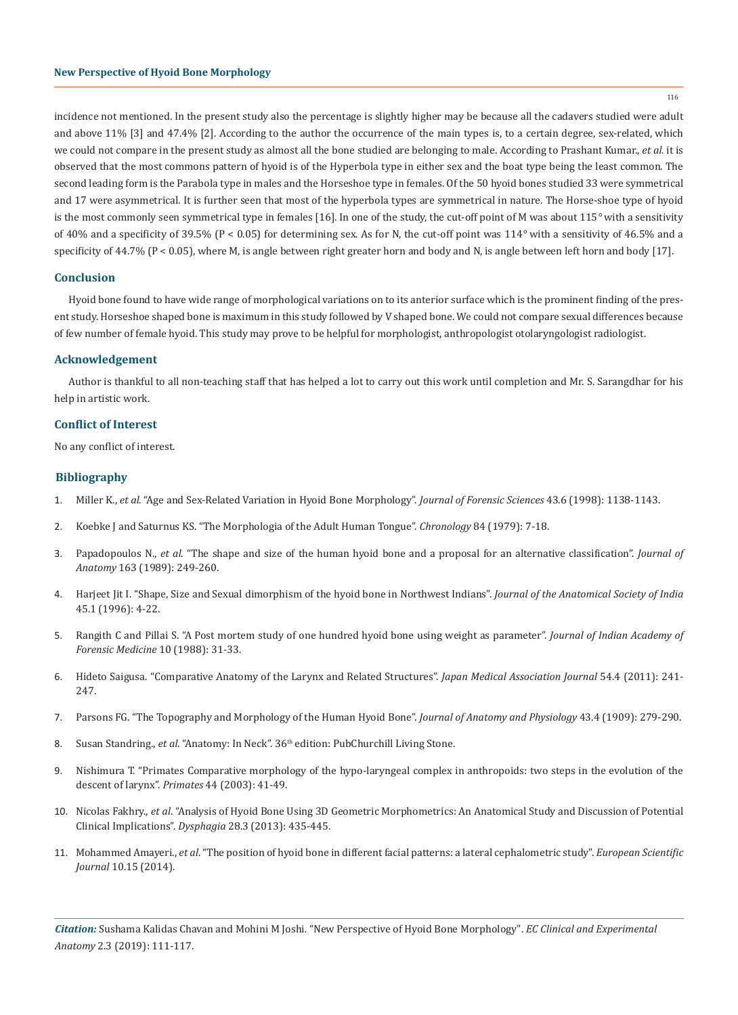incidence not mentioned. In the present study also the percentage is slightly higher may be because all the cadavers studied were adult and above 11% [3] and 47.4% [2]. According to the author the occurrence of the main types is, to a certain degree, sex-related, which we could not compare in the present study as almost all the bone studied are belonging to male. According to Prashant Kumar., *et al.* it is observed that the most commons pattern of hyoid is of the Hyperbola type in either sex and the boat type being the least common. The second leading form is the Parabola type in males and the Horseshoe type in females. Of the 50 hyoid bones studied 33 were symmetrical and 17 were asymmetrical. It is further seen that most of the hyperbola types are symmetrical in nature. The Horse-shoe type of hyoid is the most commonly seen symmetrical type in females [16]. In one of the study, the cut-off point of M was about 115*°* with a sensitivity of 40% and a specificity of 39.5% (P < 0.05) for determining sex. As for N, the cut-off point was 114*°* with a sensitivity of 46.5% and a specificity of 44.7% (P < 0.05), where M, is angle between right greater horn and body and N, is angle between left horn and body [17].

### **Conclusion**

Hyoid bone found to have wide range of morphological variations on to its anterior surface which is the prominent finding of the present study. Horseshoe shaped bone is maximum in this study followed by V shaped bone. We could not compare sexual differences because of few number of female hyoid. This study may prove to be helpful for morphologist, anthropologist otolaryngologist radiologist.

#### **Acknowledgement**

Author is thankful to all non-teaching staff that has helped a lot to carry out this work until completion and Mr. S. Sarangdhar for his help in artistic work.

#### **Conflict of Interest**

No any conflict of interest.

#### **Bibliography**

- 1. Miller K., *et al*[. "Age and Sex-Related Variation in Hyoid Bone Morphology".](https://www.ncbi.nlm.nih.gov/pubmed/9846390) *Journal of Forensic Sciences* 43.6 (1998): 1138-1143.
- 2. Koebke J and Saturnus KS. "The Morphologia of the Adult Human Tongue". *Chronology* 84 (1979): 7-18.
- 3. Papadopoulos N., *et al*[. "The shape and size of the human hyoid bone and a proposal for an alternative classification".](https://www.ncbi.nlm.nih.gov/pmc/articles/PMC1256534/) *Journal of Anatomy* [163 \(1989\): 249-260.](https://www.ncbi.nlm.nih.gov/pmc/articles/PMC1256534/)
- 4. [Harjeet Jit I. "Shape, Size and Sexual dimorphism of the hyoid bone in Northwest Indians".](http://medind.nic.in/imvw/imvw12108.html) *Journal of the Anatomical Society of India*  [45.1 \(1996\): 4-22.](http://medind.nic.in/imvw/imvw12108.html)
- 5. Rangith C and Pillai S. "A Post mortem study of one hundred hyoid bone using weight as parameter". *Journal of Indian Academy of Forensic Medicine* 10 (1988): 31-33.
- 6. [Hideto Saigusa. "Comparative Anatomy of the Larynx and Related Structures".](https://www.med.or.jp/english/journal/pdf/2011_04/241_247.pdf) *Japan Medical Association Journal* 54.4 (2011): 241- [247.](https://www.med.or.jp/english/journal/pdf/2011_04/241_247.pdf)
- 7. [Parsons FG. "The Topography and Morphology of the Human Hyoid Bone".](https://www.ncbi.nlm.nih.gov/pmc/articles/PMC1289204/) *Journal of Anatomy and Physiology* 43.4 (1909): 279-290.
- 8. Susan Standring., *et al*. "Anatomy: In Neck". 36th edition: PubChurchill Living Stone.
- 9. Nishimura T. "Primates Comparative morphology of the hypo-laryngeal complex in anthropoids: two steps in the evolution of the descent of larynx". *Primates* 44 (2003): 41-49.
- 10. Nicolas Fakhry., *et al*[. "Analysis of Hyoid Bone Using 3D Geometric Morphometrics: An Anatomical Study and Discussion of Potential](https://www.ncbi.nlm.nih.gov/pubmed/23456326)  Clinical Implications". *Dysphagia* [28.3 \(2013\): 435-445.](https://www.ncbi.nlm.nih.gov/pubmed/23456326)
- 11. Mohammed Amayeri., *et al*[. "The position of hyoid bone in different facial patterns: a lateral cephalometric study".](https://eujournal.org/index.php/esj/article/view/3436) *European Scientific Journal* [10.15 \(2014\).](https://eujournal.org/index.php/esj/article/view/3436)

*Citation:* Sushama Kalidas Chavan and Mohini M Joshi*.* "New Perspective of Hyoid Bone Morphology". *EC Clinical and Experimental Anatomy* 2.3 (2019): 111-117.